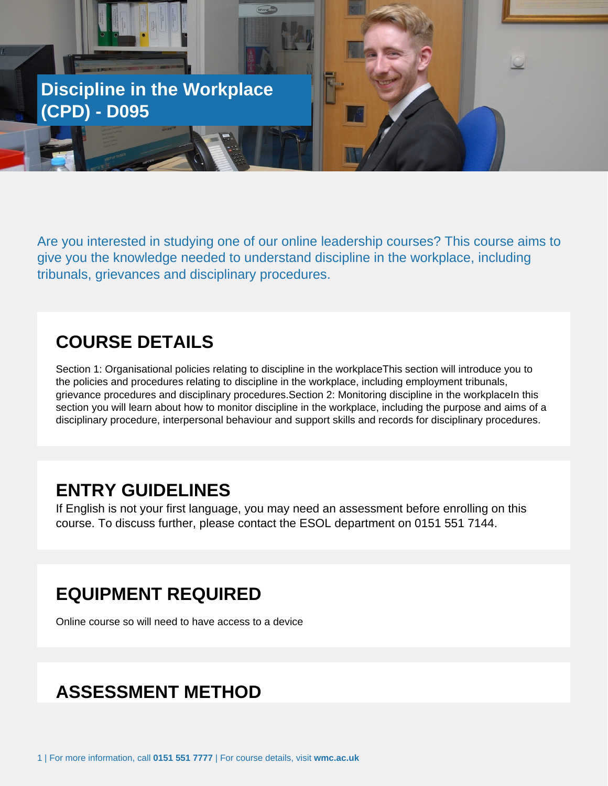

Are you interested in studying one of our online leadership courses? This course aims to give you the knowledge needed to understand discipline in the workplace, including tribunals, grievances and disciplinary procedures.

### **COURSE DETAILS**

Section 1: Organisational policies relating to discipline in the workplaceThis section will introduce you to the policies and procedures relating to discipline in the workplace, including employment tribunals, grievance procedures and disciplinary procedures.Section 2: Monitoring discipline in the workplaceIn this section you will learn about how to monitor discipline in the workplace, including the purpose and aims of a disciplinary procedure, interpersonal behaviour and support skills and records for disciplinary procedures.

#### **ENTRY GUIDELINES**

If English is not your first language, you may need an assessment before enrolling on this course. To discuss further, please contact the ESOL department on 0151 551 7144.

### **EQUIPMENT REQUIRED**

Online course so will need to have access to a device

### **ASSESSMENT METHOD**